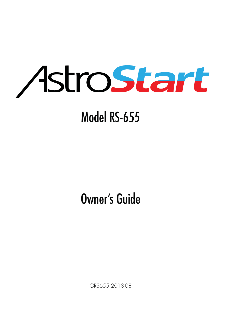

## Model RS-655

## Owner's Guide

GRS655 2013-08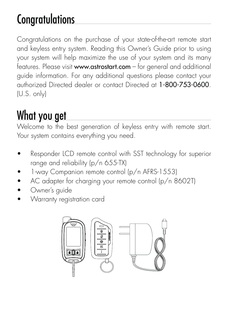## **Congratulations**

Congratulations on the purchase of your state-of-the-art remote start and keyless entry system. Reading this Owner's Guide prior to using your system will help maximize the use of your system and its many features. Please visit www.astrostart.com – for general and additional guide information. For any additional questions please contact your authorized Directed dealer or contact Directed at 1-800-753-0600. (U.S. only)

## What you get

Welcome to the best generation of keyless entry with remote start. Your system contains everything you need.

- Responder LCD remote control with SST technology for superior range and reliability (p/n 655-TX)
- 1-way Companion remote control (p/n AFRS-1553)
- AC adapter for charging your remote control (p/n 8602T)
- Owner's quide
- Warranty registration card

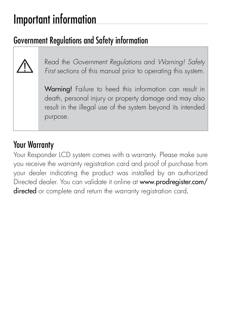## Important information

### Government Regulations and Safety information



Read the Government Regulations and Warning! Safety First sections of this manual prior to operating this system.

Warning! Failure to heed this information can result in death, personal injury or property damage and may also result in the illegal use of the system beyond its intended purpose.

#### Your Warranty

Your Responder LCD system comes with a warranty. Please make sure you receive the warranty registration card and proof of purchase from your dealer indicating the product was installed by an authorized Directed dealer. You can validate it online at www.prodregister.com/ directed or complete and return the warranty registration card.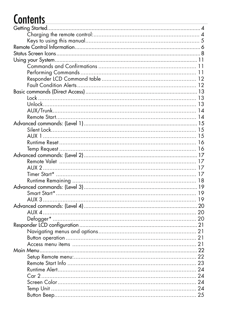## **Contents**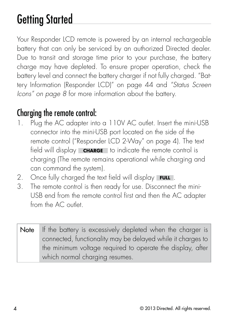## Getting Started

Your Responder LCD remote is powered by an internal rechargeable battery that can only be serviced by an authorized Directed dealer. Due to transit and storage time prior to your purchase, the battery charge may have depleted. To ensure proper operation, check the battery level and connect the battery charger if not fully charged. "Battery Information (Responder LCD)" on page 44 and "Status Screen Icons" on page 8 for more information about the battery.

### Charging the remote control:

- 1. Plug the AC adapter into a 110V AC outlet. Insert the mini-USB connector into the mini-USB port located on the side of the remote control ("Responder LCD 2-Way" on page 4). The text field will display **CHARGE** to indicate the remote control is charging (The remote remains operational while charging and can command the system).
- 2. Once fully charged the text field will display **FULL** .
- 3. The remote control is then ready for use. Disconnect the mini-USB end from the remote control first and then the AC adapter from the AC outlet
- Note If the battery is excessively depleted when the charger is connected, functionality may be delayed while it charges to the minimum voltage required to operate the display, after which normal charging resumes.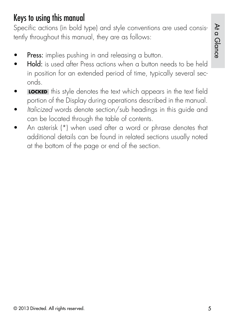#### Keys to using this manual

Specific actions (in bold type) and style conventions are used consistently throughout this manual, they are as follows:

- Press: implies pushing in and releasing a button.
- Hold: is used after Press actions when a button needs to be held in position for an extended period of time, typically several seconds.
- **LOCKED** this style denotes the text which appears in the text field portion of the Display during operations described in the manual.
- Italicized words denote section/sub headings in this guide and can be located through the table of contents.
- An asterisk (\*) when used after a word or phrase denotes that additional details can be found in related sections usually noted at the bottom of the page or end of the section.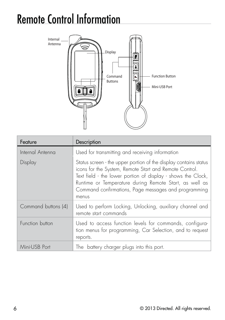## Remote Control Information



| Feature             | Description                                                                                                                                                                                                                                                                                                           |  |
|---------------------|-----------------------------------------------------------------------------------------------------------------------------------------------------------------------------------------------------------------------------------------------------------------------------------------------------------------------|--|
| Internal Antenna    | Used for transmitting and receiving information                                                                                                                                                                                                                                                                       |  |
| Display             | Status screen - the upper portion of the display contains status<br>icons for the System, Remote Start and Remote Control.<br>Text field - the lower portion of display - shows the Clock,<br>Runtime or Temperature during Remote Start, as well as<br>Command confirmations, Page messages and programming<br>menus |  |
| Command buttons (4) | Used to perform Locking, Unlocking, auxiliary channel and<br>remote start commands                                                                                                                                                                                                                                    |  |
| Function button     | Used to access function levels for commands, configura-<br>tion menus for programming, Car Selection, and to request<br>reports.                                                                                                                                                                                      |  |
| Mini-USB Port       | The battery charger plugs into this port.                                                                                                                                                                                                                                                                             |  |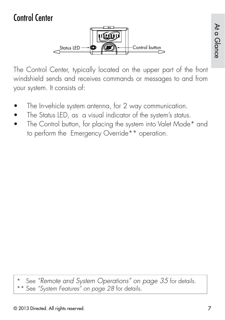### Control Center



The Control Center, typically located on the upper part of the front windshield sends and receives commands or messages to and from your system. It consists of:

- The In-vehicle system antenna, for 2 way communication.
- The Status LED, as a visual indicator of the system's status.
- The Control button, for placing the system into Valet Mode\* and to perform the Emergency Override\*\* operation.

See "Remote and System Operations" on page 35 for details.

\*\* See "System Features<sup>"</sup> on page 28 for details.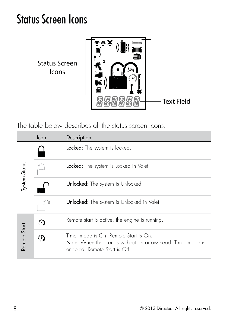## Status Screen Icons



The table below describes all the status screen icons.

|                                                                                                            | Icon<br>Description |                                                                                                                                             |  |
|------------------------------------------------------------------------------------------------------------|---------------------|---------------------------------------------------------------------------------------------------------------------------------------------|--|
|                                                                                                            |                     | Locked: The system is locked.                                                                                                               |  |
| System Status<br><b>Locked:</b> The system is Locked in Valet.<br><b>Unlocked:</b> The system is Unlocked. |                     |                                                                                                                                             |  |
|                                                                                                            |                     |                                                                                                                                             |  |
|                                                                                                            |                     | <b>Unlocked:</b> The system is Unlocked in Valet.                                                                                           |  |
| Remote start is active, the engine is running.<br>s                                                        |                     |                                                                                                                                             |  |
| Remote Start                                                                                               |                     | Timer mode is On; Remote Start is On.<br><b>Note:</b> When the icon is without an arrow head: Timer mode is<br>enabled: Remote Start is Off |  |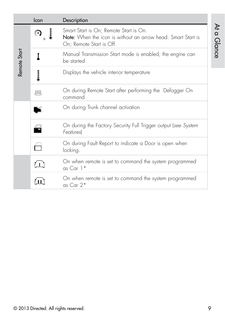|              | Icon                                                                | Description                                                                                                                               |
|--------------|---------------------------------------------------------------------|-------------------------------------------------------------------------------------------------------------------------------------------|
|              |                                                                     | Smart Start is On; Remote Start is On.<br><b>Note:</b> When the icon is without an arrow head: Smart Start is<br>On; Remote Start is Off. |
| Remote Start |                                                                     | Manual Transmission Start mode is enabled, the engine can<br>be started                                                                   |
|              |                                                                     | Displays the vehicle interior temperature                                                                                                 |
|              | [≈≈\                                                                | On during Remote Start after performing the Defogger On<br>command                                                                        |
|              | On during Trunk channel activation                                  |                                                                                                                                           |
|              | £                                                                   | On during the Factory Security Full Trigger output (see System<br><b>Features</b>                                                         |
|              |                                                                     | On during Fault Report to indicate a Door is open when<br>locking.                                                                        |
|              | On when remote is set to command the system programmed<br>as Car 1* |                                                                                                                                           |
|              |                                                                     | On when remote is set to command the system programmed<br>as Car 2*                                                                       |

At a Glance

At a Glance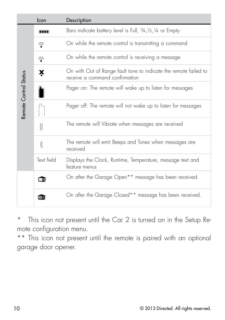|                       | Icon       | Description                                                                                        |
|-----------------------|------------|----------------------------------------------------------------------------------------------------|
|                       | mm         | Bars indicate battery level is Full, 3/4, 1/2, 1/4 or Empty                                        |
|                       | ূ          | On while the remote control is transmitting a command                                              |
|                       | ₹          | On while the remote control is receiving a message                                                 |
|                       | X          | On with Out of Range fault tone to indicate the remote failed to<br>receive a command confirmation |
|                       |            | Pager on: The remote will wake up to listen for messages                                           |
| Remote Control Status |            | Pager off: The remote will not wake up to listen for messages                                      |
|                       | 8          | The remote will Vibrate when messages are received                                                 |
|                       | K          | The remote will emit Beeps and Tones when messages are<br>received                                 |
|                       | Text field | Displays the Clock, Runtime, Temperature, message text and<br>feature menus                        |
|                       |            | On after the Garage Open <sup>**</sup> message has been received.                                  |
|                       | 一面         | On after the Garage Closed <sup>**</sup> message has been received.                                |

\* This icon not present until the Car 2 is turned on in the Setup Remote configuration menu.

\*\* This icon not present until the remote is paired with an optional garage door opener.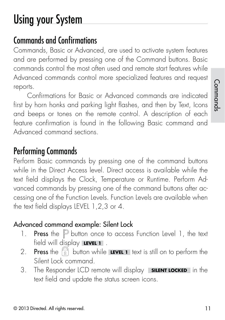## Using your System

### Commands and Confirmations

Commands, Basic or Advanced, are used to activate system features and are performed by pressing one of the Command buttons. Basic commands control the most often used and remote start features while Advanced commands control more specialized features and request reports.

Confirmations for Basic or Advanced commands are indicated first by horn honks and parking light flashes, and then by Text, Icons and beeps or tones on the remote control. A description of each feature confirmation is found in the following Basic command and Advanced command sections.

### Performing Commands

Perform Basic commands by pressing one of the command buttons while in the Direct Access level. Direct access is available while the text field displays the Clock, Temperature or Runtime. Perform Advanced commands by pressing one of the command buttons after accessing one of the Function Levels. Function Levels are available when the text field displays LEVEL 1,2,3 or 4.

#### Advanced command example: Silent Lock

- 1. **Press** the  $\mathbb P$  button once to access Function Level 1, the text field will display **LEVEL 1** .
- 2. **Press** the  $\widehat{a}$  button while **LEVEL 1** text is still on to perform the Silent Lock command.
- 3. The Responder LCD remote will display **SILENT LOCKED** in the text field and update the status screen icons.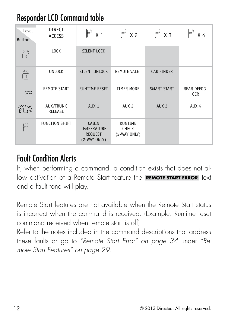### Responder LCD Command table

| Level<br><b>Button</b> | DIRECT<br><b>ACCESS</b> | $\mathbb{P}_{x_1}$                                            | $\mathbb{P}_{x_2}$                             | $X_3$              | $X_4$                     |
|------------------------|-------------------------|---------------------------------------------------------------|------------------------------------------------|--------------------|---------------------------|
| $\Omega$               | LOCK                    | <b>SILENT LOCK</b>                                            |                                                |                    |                           |
| $\mathbb{D}$           | <b>UNLOCK</b>           | <b>SILENT UNLOCK</b>                                          | <b>REMOTE VALET</b>                            | <b>CAR FINDER</b>  |                           |
| ∥∞                     | <b>REMOTE START</b>     | <b>RUNTIME RESET</b>                                          | <b>TIMER MODE</b>                              | <b>SMART START</b> | <b>REAR DEFOG-</b><br>GER |
| 25                     | AUX/TRUNK<br>RELEASE    | AUX <sub>1</sub>                                              | AUX <sub>2</sub>                               | AUX <sub>3</sub>   | AUX 4                     |
|                        | <b>FUNCTION SHIFT</b>   | CABIN<br><b>TEMPERATURE</b><br><b>REQUEST</b><br>(2-WAY ONLY) | <b>RUNTIME</b><br><b>CHECK</b><br>(2-WAY ONLY) |                    |                           |

#### Fault Condition Alerts

If, when performing a command, a condition exists that does not allow activation of a Remote Start feature the **REMOTE START ERROR** text and a fault tone will play.

Remote Start features are not available when the Remote Start status is incorrect when the command is received. (Example: Runtime reset command received when remote start is off)

Refer to the notes included in the command descriptions that address these faults or go to "Remote Start Error" on page 34 under "Remote Start Features" on page 29.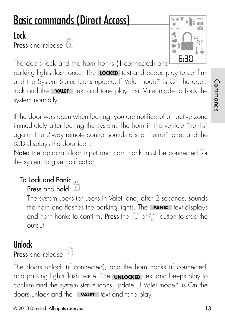# Basic commands (Direct Access)

## Lock

Press and release a



The doors lock and the horn honks (if connected) and

parking lights flash once. The **LOCKED** text and beeps play to confirm and the System Status Icons update. If Valet mode\* is On the doors lock and the **VALET** text and tone play. Exit Valet mode to Lock the system normally.

If the door was open when locking, you are notified of an active zone immediately after locking the system. The horn in the vehicle "honks" again. The 2-way remote control sounds a short "error" tone, and the LCD displays the door icon.

Note: the optional door input and horn honk must be connected for the system to give notification.

#### To Lock and Panic  $\epsilon$ Press and hold  $\left(\begin{matrix} 0 \\ 1 \end{matrix}\right)$

The system Locks (or Locks in Valet) and, after 2 seconds, sounds the horn and flashes the parking lights. The **PANIC** text displays and horn honks to confirm. Press the  $\bigcap_{\Omega}$  or  $\bigcap_{\Omega}$  button to stop the output.

### Unlock

Press and release <sup>(a)</sup>

The doors unlock (if connected), and the horn honks (if connected) and parking lights flash twice. The **UNLOCKED** text and beeps play to confirm and the system status icons update. If Valet mode\* is On the doors unlock and the **VALET** text and tone play.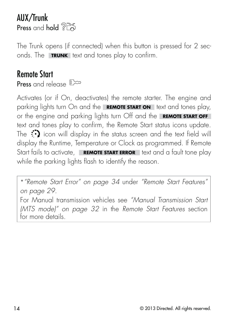#### AUX/Trunk Press and hold ? B

The Trunk opens (if connected) when this button is pressed for 2 seconds. The **TRUNK** text and tones play to confirm.

#### Remote Start Press and release  $\mathbb{R}^n$

Activates (or if On, deactivates) the remote starter. The engine and parking lights turn On and the **REMOTE START ON** text and tones play, or the engine and parking lights turn Off and the **REMOTE START OFF** text and tones play to confirm, the Remote Start status icons update. The  $\ddot{\cdot}$  icon will display in the status screen and the text field will display the Runtime, Temperature or Clock as programmed. If Remote Start fails to activate, **REMOTE START ERROR** text and a fault tone play while the parking lights flash to identify the reason.

\*"Remote Start Error" on page 34 under "Remote Start Features" on page 29. For Manual transmission vehicles see "Manual Transmission Start (MTS mode)" on page 32 in the Remote Start Features section for more details.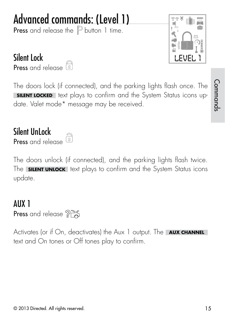### © 2013 Directed. All rights reserved. 15

## Advanced commands: (Level 1)

Press and release the  $\mathbb P$  button 1 time.

#### Silent Lock

Press and release **a** 

The doors lock (if connected), and the parking lights flash once. The **SILENT LOCKED** text plays to confirm and the System Status icons update. Valet mode\* message may be received.

#### Silent UnLock

**Press** and release <sup>2</sup>

The doors unlock (if connected), and the parking lights flash twice. The **SILENT UNLOCK** text plays to confirm and the System Status icons update.

#### AUX 1 Press and release ?~

Activates (or if On, deactivates) the Aux 1 output. The **AUX CHANNEL** text and On tones or Off tones play to confirm.



Commands

Commands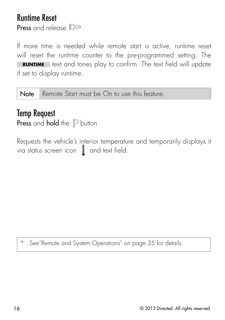#### Runtime Reset Press and release  $\mathbb{R}^{\infty}$

If more time is needed while remote start is active, runtime reset will reset the runtime counter to the pre-programmed setting. The **RUNTIME** text and tones play to confirm. The text field will update if set to display runtime.

Note Remote Start must be On to use this feature.

#### Temp Request Press and hold the  $P$  button

Requests the vehicle's interior temperature and temporarily displays it via status screen icon  $\parallel$  and text field.

See"Remote and System Operations" on page 35 for details.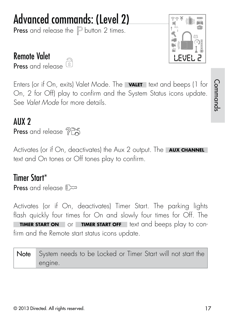## © 2013 Directed. All rights reserved. 17

Remote Valet  $\tilde{a}$ Press and release

Enters (or if On, exits) Valet Mode. The **VALET** text and beeps (1 for On, 2 for Off) play to confirm and the System Status icons update. See Valet Mode for more details.

#### AUX 2 Press and release ?

Activates (or if On, deactivates) the Aux 2 output. The **AUX CHANNEL** text and On tones or Off tones play to confirm.

#### Timer Start\*

**Press** and release  $\mathbb{R}^{\infty}$ 

Activates (or if On, deactivates) Timer Start. The parking lights flash quickly four times for On and slowly four times for Off. The **TIMER START ON** or **TIMER START OFF** text and beeps play to confirm and the Remote start status icons update.

Note System needs to be Locked or Timer Start will not start the engine.

Commands Commands

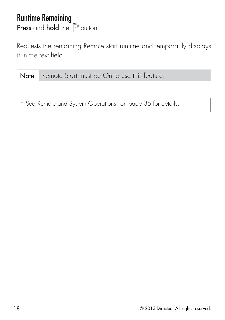#### Runtime Remaining Press and hold the  $P$  button

Requests the remaining Remote start runtime and temporarily displays it in the text field.

Note Remote Start must be On to use this feature.

\* See"Remote and System Operations" on page 35 for details.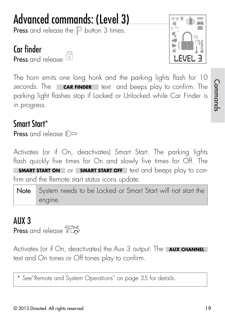## Advanced commands: (Level 3)

**Press** and release the  $\mathbb P$  button 3 times.

### Car finder

```
Press and release <sup>2</sup>
```


The horn emits one long honk and the parking lights flash for 10 seconds. The **CAR FINDER** text and beeps play to confirm. The parking light flashes stop if Locked or Unlocked while Car Finder is in progress.

#### Smart Start\*

**Press** and release  $\mathbb{R}^{\infty}$ 

Activates (or if On, deactivates) Smart Start. The parking lights flash quickly five times for On and slowly five times for Off. The **SMART START ON** or **SMART START OFF** text and beeps play to confirm and the Remote start status icons update.

Note System needs to be Locked or Smart Start will not start the engine.

#### AUX 3 Press and release ? B

Activates (or if On, deactivates) the Aux 3 output. The **AUX CHANNEL** text and On tones or Off tones play to confirm.

\* See"Remote and System Operations" on page 35 for details.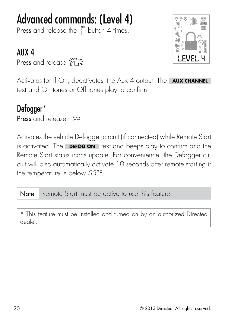## Advanced commands: (Level 4)

**Press** and release the  $\mathbb P$  button 4 times.

#### AUX 4

Press and release ?



Activates (or if On, deactivates) the Aux 4 output. The **AUX CHANNEL** text and On tones or Off tones play to confirm.

#### Defogger\* Press and release  $\mathbb{R}$

Activates the vehicle Defogger circuit (if connected) while Remote Start is activated. The **DEFOG ON** text and beeps play to confirm and the Remote Start status icons update. For convenience, the Defogger circuit will also automatically activate 10 seconds after remote starting if the temperature is below 55°F.

Note Remote Start must be active to use this feature.

\* This feature must be installed and turned on by an authorized Directed dealer.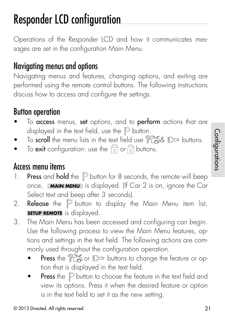## Responder LCD configuration

Operations of the Responder LCD and how it communicates messages are set in the configuration Main Menu.

#### Navigating menus and options

Navigating menus and features, changing options, and exiting are performed using the remote control buttons. The following instructions discuss how to access and configure the settings.

#### Button operation

- To access menus, set options, and to perform actions that are displayed in the text field, use the  $\mathbb P$  button.
- To scroll the menu lists in the text field use  $?$   $\mathbb{R}$   $\mathbb{R}$   $\mathbb{R}$  buttons.
- To exit configuration: use the  $\bigcap_{\Omega}$  or  $\bigcap_{\Omega}$  buttons.

#### Access menu items

- 1. Press and hold the  $\mathbb P$  button for 8 seconds, the remote will beep once, **MAIN MENU** is displayed. (If Car 2 is on, ignore the Car Select text and beep after 3 seconds).
- 2. **Release** the  $\mathbb P$  button to display the Main Menu item list, **SETUP REMOTE** is displayed.
- 3. The Main Menu has been accessed and configuring can begin. Use the following process to view the Main Menu features, options and settings in the text field. The following actions are commonly used throughout the configuration operation.
	- **Press** the  $\mathcal{P}^{\infty}_{\infty}$  or  $\mathbb{R}^{\infty}$  buttons to change the feature or option that is displayed in the text field.
	- **Press** the  $\mathbb P$  button to choose the feature in the text field and view its options. Press it when the desired feature or option is in the text field to set it as the new setting.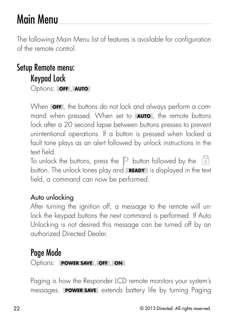## Main Menu

The following Main Menu list of features is available for configuration of the remote control.

#### Setup Remote menu: Keypad Lock Options: **OFF** , **AUTO**

When **OFF** , the buttons do not lock and always perform a command when pressed. When set to **AUTO** , the remote buttons lock after a 20 second lapse between buttons presses to prevent unintentional operations. If a button is pressed when locked a fault tone plays as an alert followed by unlock instructions in the text field.

To unlock the buttons, press the  $\mathbb P$  button followed by the  $\widehat{a}$ button. The unlock tones play and **READY** is displayed in the text field, a command can now be performed.

#### Auto unlocking

After turning the ignition off, a message to the remote will unlock the keypad buttons the next command is performed. If Auto Unlocking is not desired this message can be turned off by an authorized Directed Dealer.

#### Page Mode

Options: **POWER SAVE** , **OFF** , **ON**

Paging is how the Responder LCD remote monitors your system's messages. **POWER SAVE** extends battery life by turning Paging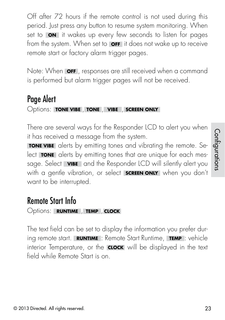Off after 72 hours if the remote control is not used during this period. Just press any button to resume system monitoring. When set to **ON** it wakes up every few seconds to listen for pages from the system. When set to **OFF** it does not wake up to receive remote start or factory alarm trigger pages.

Note: When **OFF** , responses are still received when a command is performed but alarm trigger pages will not be received.

#### Page Alert

Options: **TONE VIBE** , **TONE** , **VIBE** , **SCREEN ONLY**

There are several ways for the Responder LCD to alert you when it has received a message from the system.

**TONE VIBE** alerts by emitting tones and vibrating the remote. Select **TONE** alerts by emitting tones that are unique for each message. Select **VIBE** and the Responder LCD will silently alert you with a gentle vibration, or select **SCREEN ONLY** when you don't want to be interrupted.

### Remote Start Info

Options: **RUNTIME** , **TEMP** , **CLOCK**

The text field can be set to display the information you prefer during remote start. **RUNTIME** : Remote Start Runtime, **TEMP** : vehicle interior Temperature, or the **CLOCK** will be displayed in the text field while Remote Start is on.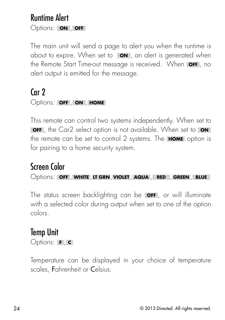#### Runtime Alert Options: **ON** , **OFF**

The main unit will send a page to alert you when the runtime is about to expire. When set to **ON** , an alert is generated when the Remote Start Time-out message is received. When **OFF** , no alert output is emitted for the message.

#### Car 2

#### Options: **OFF** , **ON** , **HOME**

This remote can control two systems independently. When set to **OFF** , the Car2 select option is not available. When set to **ON** the remote can be set to control 2 systems. The **HOME** option is for pairing to a home security system.

### Screen Color

Options: **OFF** , **WHITE** ,**LT GRN**, **VIOLET** , **AQUA** , **RED** , **GREEN** , **BLUE**

The status screen backlighting can be **OFF** , or will illuminate with a selected color during output when set to one of the option colors.

#### Temp Unit

Options: **<sup>F</sup>** , **<sup>C</sup>**

Temperature can be displayed in your choice of temperature scales, Fahrenheit or Celsius.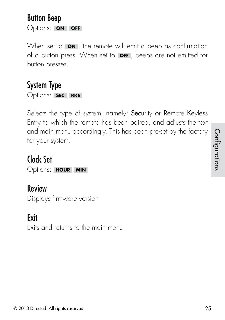#### © 2013 Directed. All rights reserved. 25

Button Beep Options: **ON** , **OFF**

When set to **ON**, the remote will emit a beep as confirmation of a button press. When set to **OFF** , beeps are not emitted for button presses.

### System Type

Options: **SEC** , **RKE**

Selects the type of system, namely; Security or Remote Keyless Entry to which the remote has been paired, and adjusts the text and main menu accordingly. This has been pre-set by the factory for your system.

Clock Set Options: **HOUR** , **MIN**

### Review

Displays firmware version

### Exit

Exits and returns to the main menu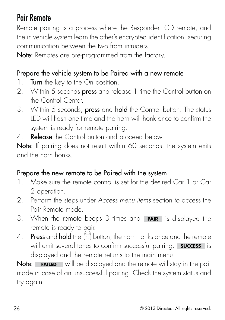### Pair Remote

Remote pairing is a process where the Responder LCD remote, and the in-vehicle system learn the other's encrypted identification, securing communication between the two from intruders.

Note: Remotes are pre-programmed from the factory.

#### Prepare the vehicle system to be Paired with a new remote

- 1. **Turn** the key to the On position.
- 2. Within 5 seconds press and release 1 time the Control button on the Control Center.
- 3. Within 5 seconds, press and hold the Control button. The status LED will flash one time and the horn will honk once to confirm the system is ready for remote pairing.
- 4. Release the Control button and proceed below.

Note: If pairing does not result within 60 seconds, the system exits and the horn honks.

#### Prepare the new remote to be Paired with the system

- 1. Make sure the remote control is set for the desired Car 1 or Car 2 operation.
- 2. Perform the steps under Access menu items section to access the Pair Remote mode.
- 3. When the remote beeps 3 times and **PAIR** is displayed the remote is ready to pair.
- 4. **Press** and **hold** the  $\widehat{a}$  button, the horn honks once and the remote will emit several tones to confirm successful pairing. **Success** is displayed and the remote returns to the main menu.

Note: **FAILED** will be displayed and the remote will stay in the pair mode in case of an unsuccessful pairing. Check the system status and try again.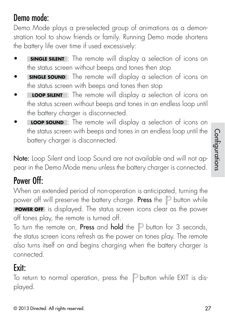#### © 2013 Directed. All rights reserved. 27

Demo Mode plays a pre-selected group of animations as a demonstration tool to show friends or family. Running Demo mode shortens the battery life over time if used excessively:

- **SINGLE SILENT** : The remote will display a selection of icons on the status screen without beeps and tones then stop
- **SINGLE SOUND** : The remote will display a selection of icons on the status screen with beeps and tones then stop
- **LOOP SILENT** : The remote will display a selection of icons on the status screen without beeps and tones in an endless loop until the battery charger is disconnected.
- **LOOP SOUND** : The remote will display a selection of icons on the status screen with beeps and tones in an endless loop until the battery charger is disconnected.

Note: Loop Silent and Loop Sound are not available and will not appear in the Demo Mode menu unless the battery charger is connected.

### Power Off:

When an extended period of non-operation is anticipated, turning the power off will preserve the battery charge. Press the  $\mathbb P$  button while **POWER OFF** is displayed. The status screen icons clear as the power off tones play, the remote is turned off.

To turn the remote on, **Press** and **hold** the  $\mathbb P$  button for 3 seconds, the status screen icons refresh as the power on tones play. The remote also turns itself on and begins charging when the battery charger is connected.

### Exit:

To return to normal operation, press the  $\mathbb P$  button while EXIT is displayed.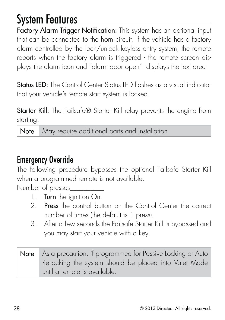## System Features

Factory Alarm Trigger Notification: This system has an optional input that can be connected to the horn circuit. If the vehicle has a factory alarm controlled by the lock/unlock keyless entry system, the remote reports when the factory alarm is triggered - the remote screen displays the alarm icon and "alarm door open" displays the text area.

**Status LED:** The Control Center Status LED flashes as a visual indicator that your vehicle's remote start system is locked.

**Starter Kill:** The Failsafe<sup>®</sup> Starter Kill relay prevents the engine from starting.

Note May require additional parts and installation

#### Emergency Override

The following procedure bypasses the optional Failsafe Starter Kill when a programmed remote is not available.

Number of presses\_\_\_\_\_\_\_\_\_\_

- 1. Turn the ignition On.
- 2. **Press** the control button on the Control Center the correct number of times (the default is 1 press).
- 3. After a few seconds the Failsafe Starter Kill is bypassed and you may start your vehicle with a key.
- Note As a precaution, if programmed for Passive Locking or Auto Re-locking the system should be placed into Valet Mode until a remote is available.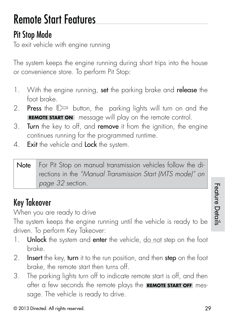## Remote Start Features

### Pit Stop Mode

To exit vehicle with engine running

The system keeps the engine running during short trips into the house or convenience store. To perform Pit Stop:

- 1. With the engine running, set the parking brake and release the foot brake.
- 2. Press the  $\mathbb{D}^{\infty}$  button, the parking lights will turn on and the **REMOTE START ON** message will play on the remote control.
- 3. Turn the key to off, and remove it from the ignition, the engine continues running for the programmed runtime.
- 4. Exit the vehicle and Lock the system.

| Note For Pit Stop on manual transmission vehicles follow the di- |
|------------------------------------------------------------------|
| rections in the "Manual Transmission Start (MTS mode)" on        |
| page 32 section.                                                 |

### Key Takeover

When you are ready to drive

The system keeps the engine running until the vehicle is ready to be driven. To perform Key Takeover:

- 1. Unlock the system and enter the vehicle, do not step on the foot brake.
- 2. Insert the key, turn it to the run position, and then step on the foot brake, the remote start then turns off.
- 3. The parking lights turn off to indicate remote start is off, and then after a few seconds the remote plays the **REMOTE START OFF** message. The vehicle is ready to drive.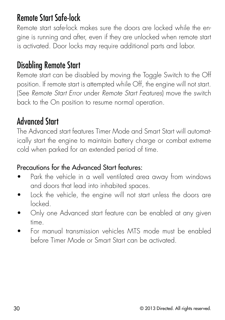#### Remote Start Safe-lock

Remote start safe-lock makes sure the doors are locked while the engine is running and after, even if they are unlocked when remote start is activated. Door locks may require additional parts and labor.

#### Disabling Remote Start

Remote start can be disabled by moving the Toggle Switch to the Off position. If remote start is attempted while Off, the engine will not start. (See Remote Start Error under Remote Start Features) move the switch back to the On position to resume normal operation.

#### Advanced Start

The Advanced start features Timer Mode and Smart Start will automatically start the engine to maintain battery charge or combat extreme cold when parked for an extended period of time.

#### Precautions for the Advanced Start features:

- Park the vehicle in a well ventilated area away from windows and doors that lead into inhabited spaces.
- Lock the vehicle, the engine will not start unless the doors are locked.
- Only one Advanced start feature can be enabled at any given time.
- For manual transmission vehicles MTS mode must be enabled before Timer Mode or Smart Start can be activated.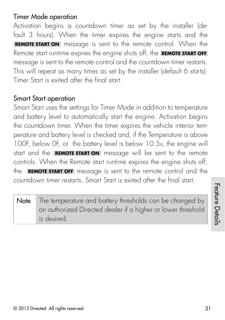#### Timer Mode operation

Activation begins a countdown timer as set by the installer (default 3 hours). When the timer expires the engine starts and the **REMOTE START ON** message is sent to the remote control. When the Remote start runtime expires the engine shuts off, the **REMOTE START OFF** message is sent to the remote control and the countdown timer restarts. This will repeat as many times as set by the installer (default 6 starts). Timer Start is exited after the final start.

#### Smart Start operation

Smart Start uses the settings for Timer Mode in addition to temperature and battery level to automatically start the engine. Activation begins the countdown timer. When the timer expires the vehicle interior temperature and battery level is checked and, if the Temperature is above 100F, below 0F, or the battery level is below 10.5v, the engine will start and the **REMOTE START ON** message will be sent to the remote controls. When the Remote start runtime expires the engine shuts off, the **REMOTE START OFF** message is sent to the remote control and the countdown timer restarts. Smart Start is exited after the final start.

Note The temperature and battery thresholds can be changed by an authorized Directed dealer if a higher or lower threshold is desired.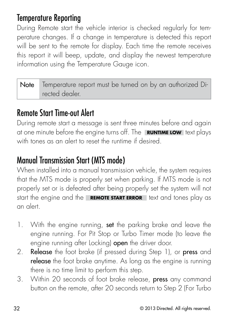#### Temperature Reporting

During Remote start the vehicle interior is checked regularly for temperature changes. If a change in temperature is detected this report will be sent to the remote for display. Each time the remote receives this report it will beep, update, and display the newest temperature information using the Temperature Gauge icon.

| Note Temperature report must be turned on by an authorized Di- |
|----------------------------------------------------------------|
| rected dealer.                                                 |

### Remote Start Time-out Alert

During remote start a message is sent three minutes before and again at one minute before the engine turns off. The **RUNTIME LOW** text plays with tones as an alert to reset the runtime if desired.

### Manual Transmission Start (MTS mode)

When installed into a manual transmission vehicle, the system requires that the MTS mode is properly set when parking. If MTS mode is not properly set or is defeated after being properly set the system will not start the engine and the **REMOTE START ERROR** text and tones play as an alert.

- 1. With the engine running, set the parking brake and leave the engine running. For Pit Stop or Turbo Timer mode (to leave the engine running after Locking) open the driver door.
- 2. Release the foot brake (if pressed during Step 1), or press and release the foot brake anytime. As long as the engine is running there is no time limit to perform this step.
- 3. Within 20 seconds of foot brake release, press any command button on the remote, after 20 seconds return to Step 2 (For Turbo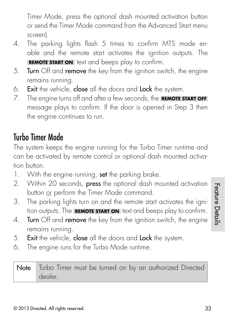Timer Mode, press the optional dash mounted activation button or send the Timer Mode command from the Advanced Start menu screen).

- 4. The parking lights flash 5 times to confirm MTS mode enable and the remote start activates the ignition outputs. The **REMOTE START ON** text and beeps play to confirm.
- 5. **Turn** Off and **remove** the key from the ignition switch, the engine remains running.
- 6. Exit the vehicle, close all the doors and Lock the system.
- 7. The engine turns off and after a few seconds, the **REMOTE START OFF** message plays to confirm. If the door is opened in Step 3 then the engine continues to run.

#### Turbo Timer Mode

The system keeps the engine running for the Turbo Timer runtime and can be activated by remote control or optional dash mounted activation button.

- 1. With the engine running, set the parking brake.
- 2. Within 20 seconds, press the optional dash mounted activation button or perform the Timer Mode command.
- 3. The parking lights turn on and the remote start activates the ignition outputs. The **REMOTE START ON** text and beeps play to confirm.
- 4. Turn Off and remove the key from the ignition switch, the engine remains running.
- 5. Exit the vehicle, close all the doors and Lock the system.
- 6. The engine runs for the Turbo Mode runtime.

Note Turbo Timer must be turned on by an authorized Directed dealer.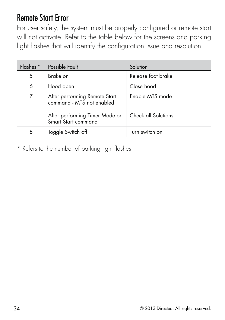#### Remote Start Error

For user safety, the system must be properly configured or remote start will not activate. Refer to the table below for the screens and parking light flashes that will identify the configuration issue and resolution.

| Flashes * | Possible Fault                                                                               | Solution                               |
|-----------|----------------------------------------------------------------------------------------------|----------------------------------------|
| 5         | Brake on                                                                                     | Release foot brake                     |
| 6         | Hood open                                                                                    | Close hood                             |
| 7         | After performing Remote Start<br>command - MTS not enabled<br>After performing Timer Mode or | Enable MTS mode<br>Check all Solutions |
|           | Smart Start command                                                                          |                                        |
| 8         | Toggle Switch off                                                                            | Turn switch on                         |

\* Refers to the number of parking light flashes.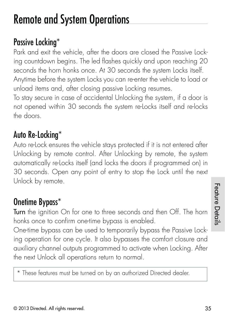## Remote and System Operations

### Passive Locking\*

Park and exit the vehicle, after the doors are closed the Passive Locking countdown begins. The led flashes quickly and upon reaching 20 seconds the horn honks once. At 30 seconds the system Locks itself. Anytime before the system Locks you can re-enter the vehicle to load or unload items and, after closing passive Locking resumes.

To stay secure in case of accidental Unlocking the system, if a door is not opened within 30 seconds the system re-Locks itself and re-locks the doors.

### Auto Re-Locking\*

Auto re-Lock ensures the vehicle stays protected if it is not entered after Unlocking by remote control. After Unlocking by remote, the system automatically re-Locks itself (and locks the doors if programmed on) in 30 seconds. Open any point of entry to stop the Lock until the next Unlock by remote.

#### Onetime Bypass\*

Turn the ignition On for one to three seconds and then Off. The horn honks once to confirm one-time bypass is enabled.

One-time bypass can be used to temporarily bypass the Passive Locking operation for one cycle. It also bypasses the comfort closure and auxiliary channel outputs programmed to activate when Locking. After the next Unlock all operations return to normal.

\* These features must be turned on by an authorized Directed dealer.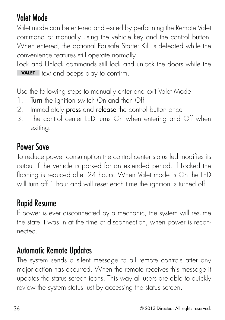### Valet Mode

Valet mode can be entered and exited by performing the Remote Valet command or manually using the vehicle key and the control button. When entered, the optional Failsafe Starter Kill is defeated while the convenience features still operate normally.

Lock and Unlock commands still lock and unlock the doors while the **VALET** text and beeps play to confirm.

Use the following steps to manually enter and exit Valet Mode:

- 1. Turn the ignition switch On and then Off
- 2. Immediately press and release the control button once
- 3. The control center LED turns On when entering and Off when exiting.

#### Power Save

To reduce power consumption the control center status led modifies its output if the vehicle is parked for an extended period. If Locked the flashing is reduced after 24 hours. When Valet mode is On the LED will turn off 1 hour and will reset each time the ignition is turned off.

#### Rapid Resume

If power is ever disconnected by a mechanic, the system will resume the state it was in at the time of disconnection, when power is reconnected.

#### Automatic Remote Updates

The system sends a silent message to all remote controls after any major action has occurred. When the remote receives this message it updates the status screen icons. This way all users are able to quickly review the system status just by accessing the status screen.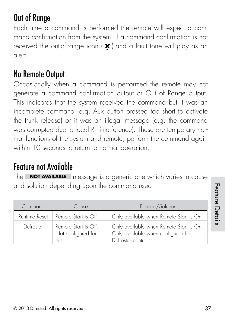### Out of Range

Each time a command is performed the remote will expect a command confirmation from the system. If a command confirmation is not received the out-of-range icon  $(\mathbf{x})$  and a fault tone will play as an alert.

#### No Remote Output

Occasionally when a command is performed the remote may not generate a command confirmation output or Out of Range output. This indicates that the system received the command but it was an incomplete command (e.g. Aux button pressed too short to activate the trunk release) or it was an illegal message (e.g. the command was corrupted due to local RF interference). These are temporary normal functions of the system and remote, perform the command again within 10 seconds to return to normal operation.

#### Feature not Available

The **NOT AVAILABLE** message is a generic one which varies in cause and solution depending upon the command used:

| Command       | Cause                                               | Reason/Solution                                                                                     |
|---------------|-----------------------------------------------------|-----------------------------------------------------------------------------------------------------|
| Runtime Reset | Remote Start is Off                                 | Only available when Remote Start is On                                                              |
| Defroster     | Remote Start is Off.<br>Not configured for<br>this. | Only available when Remote Start is On.<br>Only available when configured for<br>Defroster control. |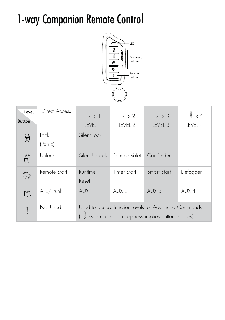## 1-way Companion Remote Control



| Level<br><b>Button</b> | Direct Access   | $\sqrt{2} \times 1$<br>IFVFI <sub>1</sub>                                                                  | $\frac{1}{2} \times 2$<br>IFVFI <sub>2</sub> | $\frac{1}{2} \times 3$<br>IFVFI <sub>3</sub> | $\frac{1}{2} \times 4$<br>IFVFI <sub>4</sub> |
|------------------------|-----------------|------------------------------------------------------------------------------------------------------------|----------------------------------------------|----------------------------------------------|----------------------------------------------|
| 0                      | Lock<br>(Panic) | Silent Lock                                                                                                |                                              |                                              |                                              |
| 3                      | Unlock          | Silent Unlock                                                                                              | Remote Valet                                 | Car Finder                                   |                                              |
| ℬ                      | Remote Start    | Runtime<br>Reset                                                                                           | <b>Timer Start</b>                           | <b>Smart Start</b>                           | Defogger                                     |
| $\mathbb{S}$           | Aux/Trunk       | AUX <sub>1</sub>                                                                                           | AUX <sub>2</sub>                             | AUX 3                                        | AUX 4                                        |
| g                      | Not Used        | Used to access function levels for Advanced Commands<br>with multiplier in top row implies button presses) |                                              |                                              |                                              |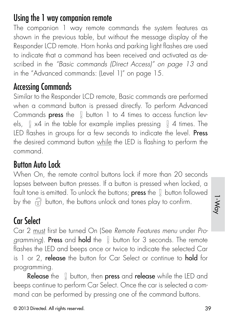#### Using the 1 way companion remote

The companion 1 way remote commands the system features as shown in the previous table, but without the message display of the Responder LCD remote. Horn honks and parking light flashes are used to indicate that a command has been received and activated as described in the "Basic commands (Direct Access)" on page 13 and in the "Advanced commands: (Level 1)" on page 15.

#### Accessing Commands

Similar to the Responder LCD remote, Basic commands are performed when a command button is pressed directly. To perform Advanced Commands press the  $\parallel$  button 1 to 4 times to access function levels,  $\left[\right]$  x4 in the table for example implies pressing  $\left[\right]$  4 times. The LED flashes in groups for a few seconds to indicate the level. Press the desired command button while the LED is flashing to perform the command.

#### Button Auto Lock

When On, the remote control buttons lock if more than 20 seconds lapses between button presses. If a button is pressed when locked, a fault tone is emitted. To unlock the buttons; press the  $\int$  button followed by the  $\widehat{B}$  button, the buttons unlock and tones play to confirm.

### Car Select

Car 2 must first be turned On (See Remote Features menu under Programming). Press and hold the  $\parallel$  button for 3 seconds. The remote flashes the LED and beeps once or twice to indicate the selected Car is 1 or 2, release the button for Car Select or continue to hold for programming.

**Release** the  $\parallel$  button, then **press** and **release** while the LED and beeps continue to perform Car Select. Once the car is selected a command can be performed by pressing one of the command buttons.

1-Way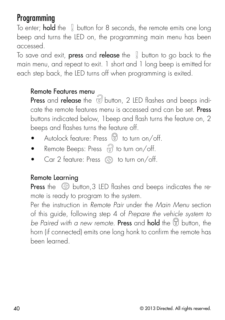#### Programming

To enter; **hold** the  $\parallel$  button for 8 seconds, the remote emits one long beep and turns the LED on, the programming main menu has been accessed.

To save and exit, **press** and **release** the  $\parallel$  button to go back to the main menu, and repeat to exit. 1 short and 1 long beep is emitted for each step back, the LED turns off when programming is exited.

#### Remote Features menu

Press and release the  $\tilde{v}$  button, 2 LED flashes and beeps indicate the remote features menu is accessed and can be set. Press buttons indicated below, 1beep and flash turns the feature on, 2 beeps and flashes turns the feature off.

- Autolock feature: Press  $\Theta$  to turn on/off.
- Remote Beeps: Press  $\widehat{B}$  to turn on/off.
- Car 2 feature: Press  $\mathbb{Q}_2$  to turn on/off.

#### Remote Learning

Press the  $\circledR$  button, 3 LED flashes and beeps indicates the remote is ready to program to the system.

Per the instruction in Remote Pair under the Main Menu section of this guide, following step 4 of Prepare the vehicle system to be Paired with a new remote. Press and hold the  $\circledR$  button, the horn (if connected) emits one long honk to confirm the remote has been learned.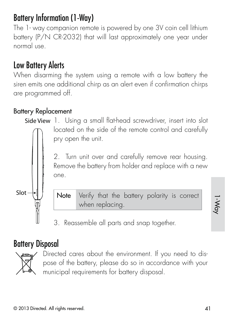### Battery Information (1-Way)

The 1- way companion remote is powered by one 3V coin cell lithium battery (P/N CR-2032) that will last approximately one year under normal use.

### Low Battery Alerts

When disarming the system using a remote with a low battery the siren emits one additional chirp as an alert even if confirmation chirps are programmed off.

#### Battery Replacement

Side View 1. Using a small flat-head screwdriver, insert into slot located on the side of the remote control and carefully pry open the unit.

> 2. Turn unit over and carefully remove rear housing. Remove the battery from holder and replace with a new one.



Note Verify that the battery polarity is correct when replacing.

1-Way

3. Reassemble all parts and snap together.

#### Battery Disposal



Directed cares about the environment. If you need to dispose of the battery, please do so in accordance with your municipal requirements for battery disposal.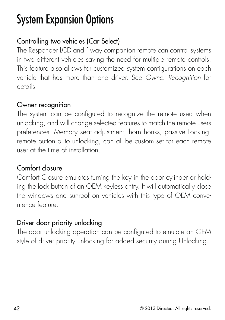## System Expansion Options

#### Controlling two vehicles (Car Select)

The Responder LCD and 1way companion remote can control systems in two different vehicles saving the need for multiple remote controls. This feature also allows for customized system configurations on each vehicle that has more than one driver. See Owner Recognition for details.

#### Owner recognition

The system can be configured to recognize the remote used when unlocking, and will change selected features to match the remote users preferences. Memory seat adjustment, horn honks, passive Locking, remote button auto unlocking, can all be custom set for each remote user at the time of installation.

#### Comfort closure

Comfort Closure emulates turning the key in the door cylinder or holding the lock button of an OEM keyless entry. It will automatically close the windows and sunroof on vehicles with this type of OEM convenience feature.

#### Driver door priority unlocking

The door unlocking operation can be configured to emulate an OEM style of driver priority unlocking for added security during Unlocking.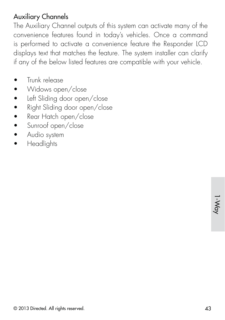#### Auxiliary Channels

The Auxiliary Channel outputs of this system can activate many of the convenience features found in today's vehicles. Once a command is performed to activate a convenience feature the Responder LCD displays text that matches the feature. The system installer can clarify if any of the below listed features are compatible with your vehicle.

- s Trunk release
- Widows open/close
- Left Sliding door open/close
- Right Sliding door open/close
- Rear Hatch open/close
- Sunroof open/close
- Audio system
- **Headlights**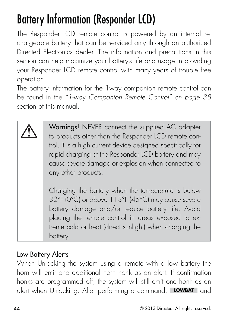## Battery Information (Responder LCD)

The Responder LCD remote control is powered by an internal rechargeable battery that can be serviced only through an authorized Directed Electronics dealer. The information and precautions in this section can help maximize your battery's life and usage in providing your Responder LCD remote control with many years of trouble free operation.

The battery information for the 1way companion remote control can be found in the "1-way Companion Remote Control" on page 38 section of this manual.

Warnings! NEVER connect the supplied AC adapter to products other than the Responder LCD remote control. It is a high current device designed specifically for rapid charging of the Responder LCD battery and may cause severe damage or explosion when connected to any other products.

Charging the battery when the temperature is below 32°F (0°C) or above 113°F (45°C) may cause severe battery damage and/or reduce battery life. Avoid placing the remote control in areas exposed to extreme cold or heat (direct sunlight) when charging the battery.

#### Low Battery Alerts

When Unlocking the system using a remote with a low battery the horn will emit one additional horn honk as an alert. If confirmation honks are programmed off, the system will still emit one honk as an alert when Unlocking. After performing a command, **LOWBAT** and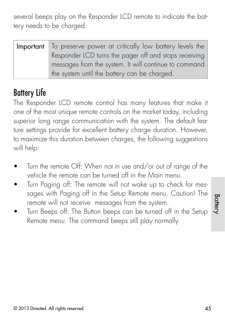several beeps play on the Responder LCD remote to indicate the battery needs to be charged.

| Important To preserve power at critically low battery levels the |  |  |
|------------------------------------------------------------------|--|--|
| Responder LCD turns the pager off and stops receiving            |  |  |
| messages from the system. It will continue to command            |  |  |
| the system until the battery can be charged.                     |  |  |

### Battery Life

The Responder LCD remote control has many features that make it one of the most unique remote controls on the market today, including superior long range communication with the system. The default feature settings provide for excellent battery charge duration. However, to maximize this duration between charges, the following suggestions will help:

- Turn the remote Off: When not in use and/or out of range of the vehicle the remote can be turned off in the Main menu.
- Turn Paging off: The remote will not wake up to check for messages with Paging off in the Setup Remote menu. Caution! The remote will not receive messages from the system.
- Turn Beeps off: The Button beeps can be turned off in the Setup Remote menu. The command beeps still play normally.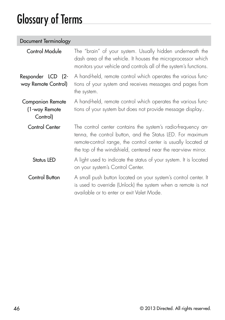## Glossary of Terms

| Document Terminology                                 |                                                                                                                                                                                                                                                                |
|------------------------------------------------------|----------------------------------------------------------------------------------------------------------------------------------------------------------------------------------------------------------------------------------------------------------------|
| Control Module                                       | The "brain" of your system. Usually hidden underneath the<br>dash area of the vehicle. It houses the microprocessor which<br>monitors your vehicle and controls all of the system's functions.                                                                 |
| Responder LCD (2-<br>way Remote Control)             | A hand-held, remote control which operates the various func-<br>tions of your system and receives messages and pages from<br>the system.                                                                                                                       |
| <b>Companion Remote</b><br>(1-way Remote<br>Control) | A hand-held, remote control which operates the various func-<br>tions of your system but does not provide message display                                                                                                                                      |
| Control Center                                       | The control center contains the system's radio-frequency an-<br>tenna, the control button, and the Status LED. For maximum<br>remote-control range, the control center is usually located at<br>the top of the windshield, centered near the rear-view mirror. |
| Status LED                                           | A light used to indicate the status of your system. It is located<br>on your system's Control Center.                                                                                                                                                          |
| Control Button                                       | A small push button located on your system's control center. It<br>is used to override (Unlock) the system when a remote is not<br>available or to enter or exit Valet Mode.                                                                                   |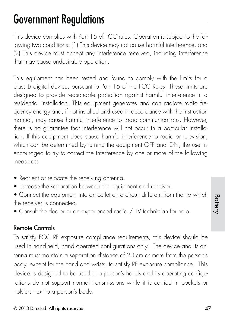## Government Regulations

This device complies with Part 15 of FCC rules. Operation is subject to the following two conditions: (1) This device may not cause harmful interference, and (2) This device must accept any interference received, including interference that may cause undesirable operation.

This equipment has been tested and found to comply with the limits for a class B digital device, pursuant to Part 15 of the FCC Rules. These limits are designed to provide reasonable protection against harmful interference in a residential installation. This equipment generates and can radiate radio frequency energy and, if not installed and used in accordance with the instruction manual, may cause harmful interference to radio communications. However, there is no guarantee that interference will not occur in a particular installation. If this equipment does cause harmful interference to radio or television, which can be determined by turning the equipment OFF and ON, the user is encouraged to try to correct the interference by one or more of the following measures:

- Reorient or relocate the receiving antenna.
- Increase the separation between the equipment and receiver.
- Connect the equipment into an outlet on a circuit different from that to which the receiver is connected.
- Consult the dealer or an experienced radio / TV technician for help.

#### Remote Controls

To satisfy FCC RF exposure compliance requirements, this device should be used in hand-held, hand operated configurations only. The device and its antenna must maintain a separation distance of 20 cm or more from the person's body, except for the hand and wrists, to satisfy RF exposure compliance. This device is designed to be used in a person's hands and its operating configurations do not support normal transmissions while it is carried in pockets or holsters next to a person's body.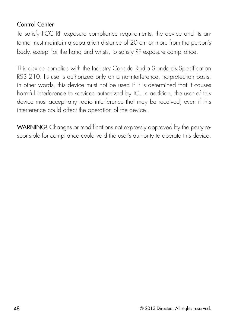#### Control Center

To satisfy FCC RF exposure compliance requirements, the device and its antenna must maintain a separation distance of 20 cm or more from the person's body, except for the hand and wrists, to satisfy RF exposure compliance.

This device complies with the Industry Canada Radio Standards Specification RSS 210. Its use is authorized only on a no-interference, no-protection basis; in other words, this device must not be used if it is determined that it causes harmful interference to services authorized by IC. In addition, the user of this device must accept any radio interference that may be received, even if this interference could affect the operation of the device.

WARNING! Changes or modifications not expressly approved by the party responsible for compliance could void the user's authority to operate this device.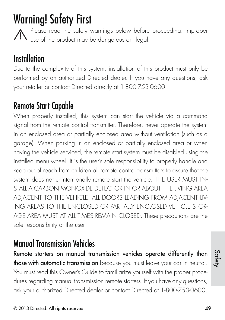## Warning! Safety First

Please read the safety warnings below before proceeding. Improper  $\Delta$  use of the product may be dangerous or illegal.

### **Installation**

Due to the complexity of this system, installation of this product must only be performed by an authorized Directed dealer. If you have any questions, ask your retailer or contact Directed directly at 1-800-753-0600.

### Remote Start Capable

When properly installed, this system can start the vehicle via a command signal from the remote control transmitter. Therefore, never operate the system in an enclosed area or partially enclosed area without ventilation (such as a garage). When parking in an enclosed or partially enclosed area or when having the vehicle serviced, the remote start system must be disabled using the installed menu wheel. It is the user's sole responsibility to properly handle and keep out of reach from children all remote control transmitters to assure that the system does not unintentionally remote start the vehicle. THE USER MUST IN-STALL A CARBON MONOXIDE DETECTOR IN OR ABOUT THE LIVING AREA ADJACENT TO THE VEHICLE. ALL DOORS LEADING FROM ADJACENT LIV-ING AREAS TO THE ENCLOSED OR PARTIALLY ENCLOSED VEHICLE STOR-AGE AREA MUST AT ALL TIMES REMAIN CLOSED. These precautions are the sole responsibility of the user.

### Manual Transmission Vehicles

Remote starters on manual transmission vehicles operate differently than those with automatic transmission because you must leave your car in neutral. You must read this Owner's Guide to familiarize yourself with the proper procedures regarding manual transmission remote starters. If you have any questions, ask your authorized Directed dealer or contact Directed at 1-800-753-0600.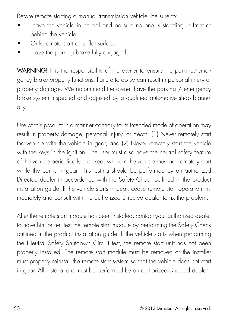Before remote starting a manual transmission vehicle, be sure to:

- Leave the vehicle in neutral and be sure no one is standing in front or behind the vehicle.
- Only remote start on a flat surface
- Have the parking brake fully engaged

WARNING! It is the responsibility of the owner to ensure the parking/emergency brake properly functions. Failure to do so can result in personal injury or property damage. We recommend the owner have the parking / emergency brake system inspected and adjusted by a qualified automotive shop biannually.

Use of this product in a manner contrary to its intended mode of operation may result in property damage, personal injury, or death. (1) Never remotely start the vehicle with the vehicle in gear, and (2) Never remotely start the vehicle with the keys in the ignition. The user must also have the neutral safety feature of the vehicle periodically checked, wherein the vehicle must not remotely start while the car is in gear. This testing should be performed by an authorized Directed dealer in accordance with the Safety Check outlined in the product installation guide. If the vehicle starts in gear, cease remote start operation immediately and consult with the authorized Directed dealer to fix the problem.

After the remote start module has been installed, contact your authorized dealer to have him or her test the remote start module by performing the Safety Check outlined in the product installation guide. If the vehicle starts when performing the Neutral Safety Shutdown Circuit test, the remote start unit has not been properly installed. The remote start module must be removed or the installer must properly reinstall the remote start system so that the vehicle does not start in gear. All installations must be performed by an authorized Directed dealer.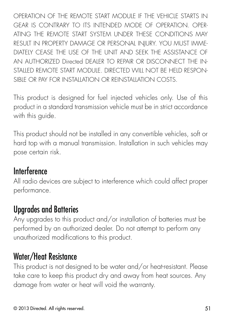OPERATION OF THE REMOTE START MODULE IF THE VEHICLE STARTS IN GEAR IS CONTRARY TO ITS INTENDED MODE OF OPERATION. OPER-ATING THE REMOTE START SYSTEM UNDER THESE CONDITIONS MAY RESULT IN PROPERTY DAMAGE OR PERSONAL INJURY. YOU MUST IMME-DIATELY CEASE THE USE OF THE UNIT AND SEEK THE ASSISTANCE OF AN AUTHORIZED Directed DEALER TO REPAIR OR DISCONNECT THE IN-STALLED REMOTE START MODULE. DIRECTED WILL NOT BE HELD RESPON-SIBLE OR PAY FOR INSTALLATION OR REINSTALLATION COSTS.

This product is designed for fuel injected vehicles only. Use of this product in a standard transmission vehicle must be in strict accordance with this guide.

This product should not be installed in any convertible vehicles, soft or hard top with a manual transmission. Installation in such vehicles may pose certain risk.

### **Interference**

All radio devices are subject to interference which could affect proper performance.

### Upgrades and Batteries

Any upgrades to this product and/or installation of batteries must be performed by an authorized dealer. Do not attempt to perform any unauthorized modifications to this product.

#### Water/Heat Resistance

This product is not designed to be water and/or heat-resistant. Please take care to keep this product dry and away from heat sources. Any damage from water or heat will void the warranty.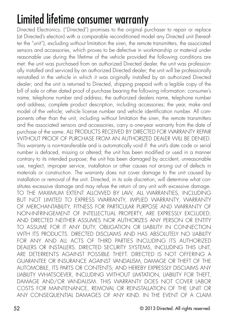## Limited lifetime consumer warranty

Directed Electronics. ("Directed") promises to the original purchaser to repair or replace (at Directed's election) with a comparable reconditioned model any Directed unit (hereafter the "unit"), excluding without limitation the siren, the remote transmitters, the associated sensors and accessories, which proves to be defective in workmanship or material under reasonable use during the lifetime of the vehicle provided the following conditions are met: the unit was purchased from an authorized Directed dealer, the unit was professionally installed and serviced by an authorized Directed dealer; the unit will be professionally reinstalled in the vehicle in which it was originally installed by an authorized Directed dealer; and the unit is returned to Directed, shipping prepaid with a legible copy of the bill of sale or other dated proof of purchase bearing the following information: consumer's name, telephone number and address; the authorized dealers name, telephone number and address; complete product description, including accessories; the year, make and model of the vehicle; vehicle license number and vehicle identification number. All components other than the unit, including without limitation the siren, the remote transmitters and the associated sensors and accessories, carry a one-year warranty from the date of purchase of the same. ALL PRODUCTS RECEIVED BY DIRECTED FOR WARRANTY REPAIR .<br>WITHOUT PROOF OF PURCHASE FROM AN AUTHORIZED DEALER WILL BE DENIED. This warranty is non-transferable and is automatically void if: the unit's date code or serial number is defaced, missing or altered; the unit has been modified or used in a manner contrary to its intended purpose; the unit has been damaged by accident, unreasonable use, neglect, improper service, installation or other causes not arising out of defects in materials or construction. The warranty does not cover damage to the unit caused by installation or removal of the unit. Directed, in its sole discretion, will determine what constitutes excessive damage and may refuse the return of any unit with excessive damage. TO THE MAXIMUM EXTENT ALLOWED BY LAW, ALL WARRANTIES, INCLUDING BUT NOT LIMITED TO EXPRESS WARRANTY, IMPLIED WARRANTY, WARRANTY OF MERCHANTABILITY, FITNESS FOR PARTICULAR PURPOSE AND WARRANTY OF NON-INFRINGEMENT OF INTELLECTUAL PROPERTY, ARE EXPRESSLY EXCLUDED; AND DIRECTED NEITHER ASSUMES NOR AUTHORIZES ANY PERSON OR ENTITY TO ASSUME FOR IT ANY DUTY, OBLIGATION OR LIABILITY IN CONNECTION WITH ITS PRODUCTS. DIRECTED DISCLAIMS AND HAS ABSOLUTELY NO HABILITY FOR ANY AND ALL ACTS OF THIRD PARTIES INCLUDING ITS AUTHORIZED DEALERS OR INSTALLERS. DIRECTED SECURITY SYSTEMS, INCLUDING THIS UNIT, ARE DETERRENTS AGAINST POSSIBLE THEFT. DIRECTED IS NOT OFFERING A GUARANTEE OR INSURANCE AGAINST VANDALISM, DAMAGE OR THEFT OF THE AUTOMOBILE, ITS PARTS OR CONTENTS; AND HEREBY EXPRESSLY DISCLAIMS ANY LIABILITY WHATSOEVER, INCLUDING WITHOUT LIMITATION, LIABILITY FOR THEFT, DAMAGE AND/OR VANDALISM. THIS WARRANTY DOES NOT COVER LABOR COSTS FOR MAINTENANCE, REMOVAL OR REINSTALLATION OF THE UNIT OR ANY CONSEQUENTIAL DAMAGES OF ANY KIND. IN THE EVENT OF A CLAIM